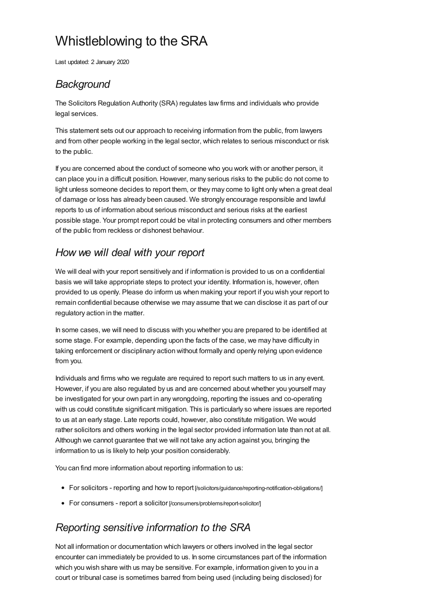# Whistleblowing to the SRA

Last updated: 2 January 2020

## *Background*

The Solicitors Regulation Authority (SRA) regulates law firms and individuals who provide legal services.

This statement sets out our approach to receiving information from the public, from lawyers and from other people working in the legal sector, which relates to serious misconduct or risk to the public.

If you are concerned about the conduct of someone who you work with or another person, it can place you in a difficult position. However, many serious risks to the public do not come to light unless someone decides to report them, or they may come to light only when a great deal of damage or loss has already been caused. We strongly encourage responsible and lawful reports to us of information about serious misconduct and serious risks at the earliest possible stage. Your prompt report could be vital in protecting consumers and other members of the public from reckless or dishonest behaviour.

#### *How we will deal with your report*

We will deal with your report sensitively and if information is provided to us on a confidential basis we will take appropriate steps to protect your identity. Information is, however, often provided to us openly. Please do inform us when making your report if you wish your report to remain confidential because otherwise we may assume that we can disclose it as part of our regulatory action in the matter.

In some cases, we will need to discuss with you whether you are prepared to be identified at some stage. For example, depending upon the facts of the case, we may have difficulty in taking enforcement or disciplinary action without formally and openly relying upon evidence from you.

Individuals and firms who we regulate are required to report such matters to us in any event. However, if you are also regulated by us and are concerned about whether you yourself may be investigated for your own part in any wrongdoing, reporting the issues and co-operating with us could constitute significant mitigation. This is particularly so where issues are reported to us at an early stage. Late reports could, however, also constitute mitigation. We would rather solicitors and others working in the legal sector provided information late than not at all. Although we cannot guarantee that we will not take any action against you, bringing the information to us is likely to help your position considerably.

You can find more information about reporting information to us:

- For solicitors reporting and how to report [\[/solicitors/guidance/reporting-notification-obligations/\]](https://www.sra.org.uk/solicitors/guidance/reporting-notification-obligations/)
- For consumers report a solicitor [\[/consumers/problems/report-solicitor/\]](https://www.sra.org.uk/consumers/problems/report-solicitor/)

# *Reporting sensitive information to the SRA*

Not all information or documentation which lawyers or others involved in the legal sector encounter can immediately be provided to us. In some circumstances part of the information which you wish share with us may be sensitive. For example, information given to you in a court or tribunal case is sometimes barred from being used (including being disclosed) for